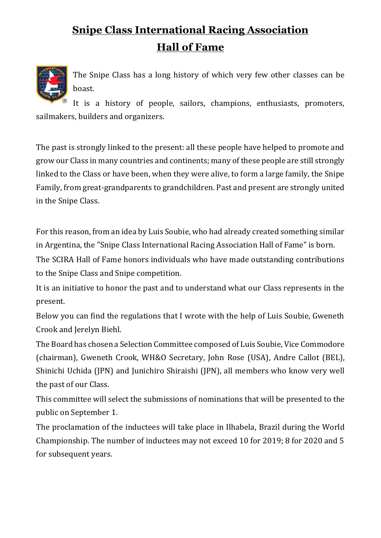## **Snipe Class International Racing Association Hall of Fame**



The Snipe Class has a long history of which very few other classes can be boast.

It is a history of people, sailors, champions, enthusiasts, promoters, sailmakers, builders and organizers.

The past is strongly linked to the present: all these people have helped to promote and grow our Class in many countries and continents; many of these people are still strongly linked to the Class or have been, when they were alive, to form a large family, the Snipe Family, from great-grandparents to grandchildren. Past and present are strongly united in the Snipe Class.

For this reason, from an idea by Luis Soubie, who had already created something similar in Argentina, the "Snipe Class International Racing Association Hall of Fame" is born.

The SCIRA Hall of Fame honors individuals who have made outstanding contributions to the Snipe Class and Snipe competition.

It is an initiative to honor the past and to understand what our Class represents in the present.

Below you can find the regulations that I wrote with the help of Luis Soubie, Gweneth Crook and Jerelyn Biehl.

The Board has chosen a Selection Committee composed of Luis Soubie, Vice Commodore (chairman), Gweneth Crook, WH&O Secretary, John Rose (USA), Andre Callot (BEL), Shinichi Uchida (JPN) and Junichiro Shiraishi (JPN), all members who know very well the past of our Class.

This committee will select the submissions of nominations that will be presented to the public on September 1.

The proclamation of the inductees will take place in Ilhabela, Brazil during the World Championship. The number of inductees may not exceed 10 for 2019; 8 for 2020 and 5 for subsequent years.